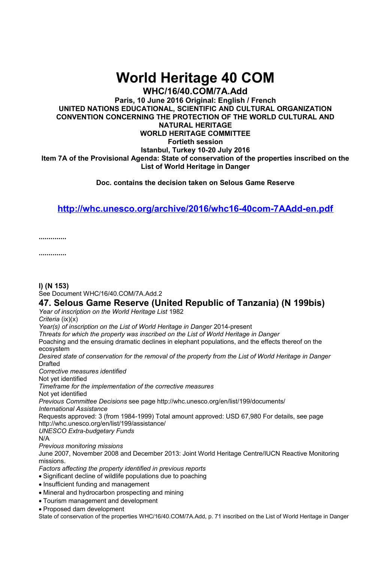# **World Heritage 40 COM**

**WHC/16/40.COM/7A.Add Paris, 10 June 2016 Original: English / French UNITED NATIONS EDUCATIONAL, SCIENTIFIC AND CULTURAL ORGANIZATION CONVENTION CONCERNING THE PROTECTION OF THE WORLD CULTURAL AND NATURAL HERITAGE WORLD HERITAGE COMMITTEE Fortieth session Istanbul, Turkey 10-20 July 2016 Item 7A of the Provisional Agenda: State of conservation of the properties inscribed on the**

**List of World Heritage in Danger**

**Doc. contains the decision taken on Selous Game Reserve**

## **<http://whc.unesco.org/archive/2016/whc16-40com-7AAdd-en.pdf>**

**..............**

**..............**

### **l) (N 153)**

See Document WHC/16/40.COM/7A.Add.2

## **47. Selous Game Reserve (United Republic of Tanzania) (N 199bis)**

*Year of inscription on the World Heritage List* 1982

*Criteria* (ix)(x)

*Year(s) of inscription on the List of World Heritage in Danger* 2014-present

*Threats for which the property was inscribed on the List of World Heritage in Danger*  Poaching and the ensuing dramatic declines in elephant populations, and the effects thereof on the

ecosystem

*Desired state of conservation for the removal of the property from the List of World Heritage in Danger*  Drafted

*Corrective measures identified* 

Not yet identified

*Timeframe for the implementation of the corrective measures* 

Not yet identified

*Previous Committee Decisions* see page http://whc.unesco.org/en/list/199/documents/ *International Assistance* 

Requests approved: 3 (from 1984-1999) Total amount approved: USD 67,980 For details, see page http://whc.unesco.org/en/list/199/assistance/

*UNESCO Extra-budgetary Funds* 

N/A

*Previous monitoring missions* 

June 2007, November 2008 and December 2013: Joint World Heritage Centre/IUCN Reactive Monitoring missions.

*Factors affecting the property identified in previous reports* 

Significant decline of wildlife populations due to poaching

• Insufficient funding and management

- Mineral and hydrocarbon prospecting and mining
- Tourism management and development

Proposed dam development

State of conservation of the properties WHC/16/40.COM/7A.Add, p. 71 inscribed on the List of World Heritage in Danger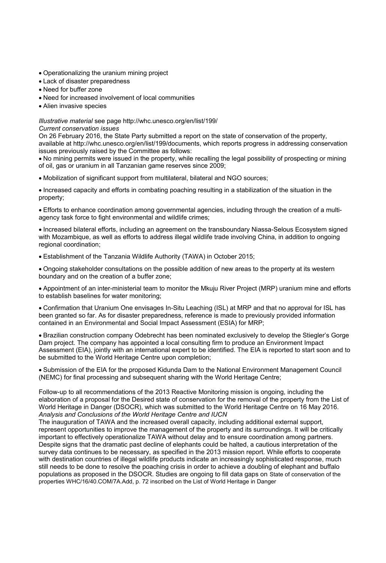- Operationalizing the uranium mining project
- Lack of disaster preparedness
- Need for buffer zone
- Need for increased involvement of local communities
- Alien invasive species

#### *Illustrative material* see page http://whc.unesco.org/en/list/199/

*Current conservation issues* 

On 26 February 2016, the State Party submitted a report on the state of conservation of the property, available at http://whc.unesco.org/en/list/199/documents, which reports progress in addressing conservation issues previously raised by the Committee as follows:

 No mining permits were issued in the property, while recalling the legal possibility of prospecting or mining of oil, gas or uranium in all Tanzanian game reserves since 2009;

Mobilization of significant support from multilateral, bilateral and NGO sources;

 Increased capacity and efforts in combating poaching resulting in a stabilization of the situation in the property;

 Efforts to enhance coordination among governmental agencies, including through the creation of a multiagency task force to fight environmental and wildlife crimes;

 Increased bilateral efforts, including an agreement on the transboundary Niassa-Selous Ecosystem signed with Mozambique, as well as efforts to address illegal wildlife trade involving China, in addition to ongoing regional coordination;

Establishment of the Tanzania Wildlife Authority (TAWA) in October 2015;

 Ongoing stakeholder consultations on the possible addition of new areas to the property at its western boundary and on the creation of a buffer zone;

 Appointment of an inter-ministerial team to monitor the Mkuju River Project (MRP) uranium mine and efforts to establish baselines for water monitoring;

 Confirmation that Uranium One envisages In-Situ Leaching (ISL) at MRP and that no approval for ISL has been granted so far. As for disaster preparedness, reference is made to previously provided information contained in an Environmental and Social Impact Assessment (ESIA) for MRP;

 Brazilian construction company Odebrecht has been nominated exclusively to develop the Stiegler's Gorge Dam project. The company has appointed a local consulting firm to produce an Environment Impact Assessment (EIA), jointly with an international expert to be identified. The EIA is reported to start soon and to be submitted to the World Heritage Centre upon completion;

 Submission of the EIA for the proposed Kidunda Dam to the National Environment Management Council (NEMC) for final processing and subsequent sharing with the World Heritage Centre;

Follow-up to all recommendations of the 2013 Reactive Monitoring mission is ongoing, including the elaboration of a proposal for the Desired state of conservation for the removal of the property from the List of World Heritage in Danger (DSOCR), which was submitted to the World Heritage Centre on 16 May 2016. *Analysis and Conclusions of the World Heritage Centre and IUCN* 

The inauguration of TAWA and the increased overall capacity, including additional external support, represent opportunities to improve the management of the property and its surroundings. It will be critically important to effectively operationalize TAWA without delay and to ensure coordination among partners. Despite signs that the dramatic past decline of elephants could be halted, a cautious interpretation of the survey data continues to be necessary, as specified in the 2013 mission report. While efforts to cooperate with destination countries of illegal wildlife products indicate an increasingly sophisticated response, much still needs to be done to resolve the poaching crisis in order to achieve a doubling of elephant and buffalo populations as proposed in the DSOCR. Studies are ongoing to fill data gaps on State of conservation of the properties WHC/16/40.COM/7A.Add, p. 72 inscribed on the List of World Heritage in Danger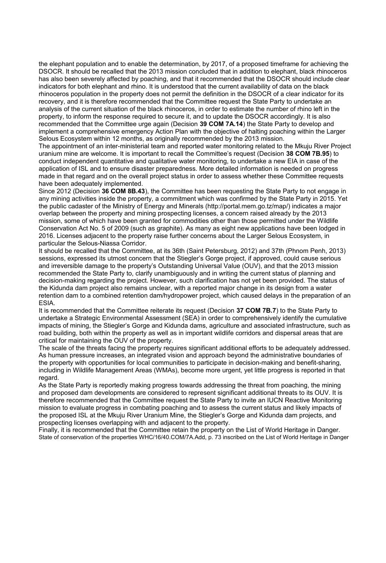the elephant population and to enable the determination, by 2017, of a proposed timeframe for achieving the DSOCR. It should be recalled that the 2013 mission concluded that in addition to elephant, black rhinoceros has also been severely affected by poaching, and that it recommended that the DSOCR should include clear indicators for both elephant and rhino. It is understood that the current availability of data on the black rhinoceros population in the property does not permit the definition in the DSOCR of a clear indicator for its recovery, and it is therefore recommended that the Committee request the State Party to undertake an analysis of the current situation of the black rhinoceros, in order to estimate the number of rhino left in the property, to inform the response required to secure it, and to update the DSOCR accordingly. It is also recommended that the Committee urge again (Decision **39 COM 7A.14**) the State Party to develop and implement a comprehensive emergency Action Plan with the objective of halting poaching within the Larger Selous Ecosystem within 12 months, as originally recommended by the 2013 mission.

The appointment of an inter-ministerial team and reported water monitoring related to the Mkuju River Project uranium mine are welcome. It is important to recall the Committee's request (Decision **38 COM 7B.95**) to conduct independent quantitative and qualitative water monitoring, to undertake a new EIA in case of the application of ISL and to ensure disaster preparedness. More detailed information is needed on progress made in that regard and on the overall project status in order to assess whether these Committee requests have been adequately implemented.

Since 2012 (Decision **36 COM 8B.43**), the Committee has been requesting the State Party to not engage in any mining activities inside the property, a commitment which was confirmed by the State Party in 2015. Yet the public cadaster of the Ministry of Energy and Minerals (http://portal.mem.go.tz/map/) indicates a major overlap between the property and mining prospecting licenses, a concern raised already by the 2013 mission, some of which have been granted for commodities other than those permitted under the Wildlife Conservation Act No. 5 of 2009 (such as graphite). As many as eight new applications have been lodged in 2016. Licenses adjacent to the property raise further concerns about the Larger Selous Ecosystem, in particular the Selous-Niassa Corridor.

It should be recalled that the Committee, at its 36th (Saint Petersburg, 2012) and 37th (Phnom Penh, 2013) sessions, expressed its utmost concern that the Stiegler's Gorge project, if approved, could cause serious and irreversible damage to the property's Outstanding Universal Value (OUV), and that the 2013 mission recommended the State Party to, clarify unambiguously and in writing the current status of planning and decision-making regarding the project. However, such clarification has not yet been provided. The status of the Kidunda dam project also remains unclear, with a reported major change in its design from a water retention dam to a combined retention dam/hydropower project, which caused delays in the preparation of an ESIA.

It is recommended that the Committee reiterate its request (Decision **37 COM 7B.7**) to the State Party to undertake a Strategic Environmental Assessment (SEA) in order to comprehensively identify the cumulative impacts of mining, the Stiegler's Gorge and Kidunda dams, agriculture and associated infrastructure, such as road building, both within the property as well as in important wildlife corridors and dispersal areas that are critical for maintaining the OUV of the property.

The scale of the threats facing the property requires significant additional efforts to be adequately addressed. As human pressure increases, an integrated vision and approach beyond the administrative boundaries of the property with opportunities for local communities to participate in decision-making and benefit-sharing, including in Wildlife Management Areas (WMAs), become more urgent, yet little progress is reported in that regard.

As the State Party is reportedly making progress towards addressing the threat from poaching, the mining and proposed dam developments are considered to represent significant additional threats to its OUV. It is therefore recommended that the Committee request the State Party to invite an IUCN Reactive Monitoring mission to evaluate progress in combating poaching and to assess the current status and likely impacts of the proposed ISL at the Mkuju River Uranium Mine, the Stiegler's Gorge and Kidunda dam projects, and prospecting licenses overlapping with and adjacent to the property.

Finally, it is recommended that the Committee retain the property on the List of World Heritage in Danger. State of conservation of the properties WHC/16/40.COM/7A.Add, p. 73 inscribed on the List of World Heritage in Danger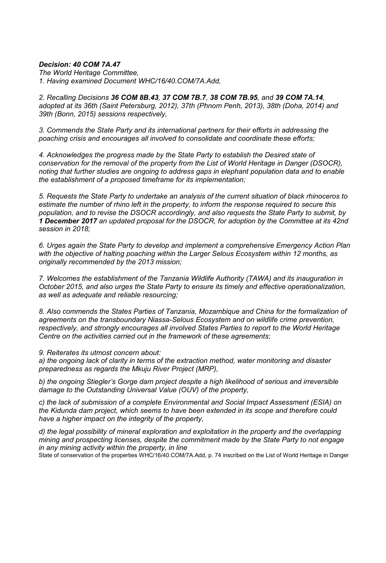### *Decision: 40 COM 7A.47*

*The World Heritage Committee, 1. Having examined Document WHC/16/40.COM/7A.Add,* 

*2. Recalling Decisions 36 COM 8B.43, 37 COM 7B.7, 38 COM 7B.95, and 39 COM 7A.14, adopted at its 36th (Saint Petersburg, 2012), 37th (Phnom Penh, 2013), 38th (Doha, 2014) and 39th (Bonn, 2015) sessions respectively,* 

*3. Commends the State Party and its international partners for their efforts in addressing the poaching crisis and encourages all involved to consolidate and coordinate these efforts;* 

*4. Acknowledges the progress made by the State Party to establish the Desired state of conservation for the removal of the property from the List of World Heritage in Danger (DSOCR), noting that further studies are ongoing to address gaps in elephant population data and to enable the establishment of a proposed timeframe for its implementation;* 

*5. Requests the State Party to undertake an analysis of the current situation of black rhinoceros to estimate the number of rhino left in the property, to inform the response required to secure this population, and to revise the DSOCR accordingly, and also requests the State Party to submit, by 1 December 2017 an updated proposal for the DSOCR, for adoption by the Committee at its 42nd session in 2018;* 

*6. Urges again the State Party to develop and implement a comprehensive Emergency Action Plan with the objective of halting poaching within the Larger Selous Ecosystem within 12 months, as originally recommended by the 2013 mission;* 

*7. Welcomes the establishment of the Tanzania Wildlife Authority (TAWA) and its inauguration in October 2015, and also urges the State Party to ensure its timely and effective operationalization, as well as adequate and reliable resourcing;* 

*8. Also commends the States Parties of Tanzania, Mozambique and China for the formalization of agreements on the transboundary Niassa-Selous Ecosystem and on wildlife crime prevention, respectively, and strongly encourages all involved States Parties to report to the World Heritage Centre on the activities carried out in the framework of these agreements;* 

*9. Reiterates its utmost concern about:* 

*a) the ongoing lack of clarity in terms of the extraction method, water monitoring and disaster preparedness as regards the Mkuju River Project (MRP),* 

*b) the ongoing Stiegler's Gorge dam project despite a high likelihood of serious and irreversible damage to the Outstanding Universal Value (OUV) of the property,* 

*c) the lack of submission of a complete Environmental and Social Impact Assessment (ESIA) on the Kidunda dam project, which seems to have been extended in its scope and therefore could have a higher impact on the integrity of the property,* 

*d) the legal possibility of mineral exploration and exploitation in the property and the overlapping mining and prospecting licenses, despite the commitment made by the State Party to not engage in any mining activity within the property, in line* 

State of conservation of the properties WHC/16/40.COM/7A.Add, p. 74 inscribed on the List of World Heritage in Danger